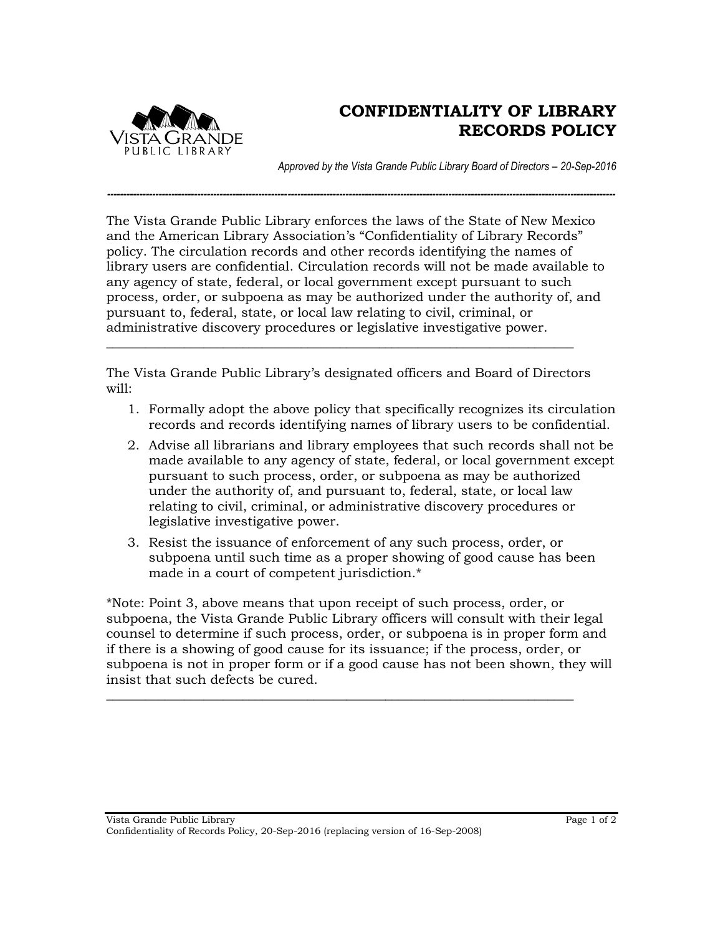

## **CONFIDENTIALITY OF LIBRARY RECORDS POLICY**

*Approved by the Vista Grande Public Library Board of Directors – 20-Sep-2016*

The Vista Grande Public Library enforces the laws of the State of New Mexico and the American Library Association's "Confidentiality of Library Records" policy. The circulation records and other records identifying the names of library users are confidential. Circulation records will not be made available to any agency of state, federal, or local government except pursuant to such process, order, or subpoena as may be authorized under the authority of, and pursuant to, federal, state, or local law relating to civil, criminal, or administrative discovery procedures or legislative investigative power.

*--------------------------------------------------------------------------------------------------------------------------------------------------------------*

The Vista Grande Public Library's designated officers and Board of Directors will:

\_\_\_\_\_\_\_\_\_\_\_\_\_\_\_\_\_\_\_\_\_\_\_\_\_\_\_\_\_\_\_\_\_\_\_\_\_\_\_\_\_\_\_\_\_\_\_\_\_\_\_\_\_\_\_\_\_\_\_\_\_\_\_\_\_\_\_\_\_\_\_\_

- 1. Formally adopt the above policy that specifically recognizes its circulation records and records identifying names of library users to be confidential.
- 2. Advise all librarians and library employees that such records shall not be made available to any agency of state, federal, or local government except pursuant to such process, order, or subpoena as may be authorized under the authority of, and pursuant to, federal, state, or local law relating to civil, criminal, or administrative discovery procedures or legislative investigative power.
- 3. Resist the issuance of enforcement of any such process, order, or subpoena until such time as a proper showing of good cause has been made in a court of competent jurisdiction.\*

\*Note: Point 3, above means that upon receipt of such process, order, or subpoena, the Vista Grande Public Library officers will consult with their legal counsel to determine if such process, order, or subpoena is in proper form and if there is a showing of good cause for its issuance; if the process, order, or subpoena is not in proper form or if a good cause has not been shown, they will insist that such defects be cured.

\_\_\_\_\_\_\_\_\_\_\_\_\_\_\_\_\_\_\_\_\_\_\_\_\_\_\_\_\_\_\_\_\_\_\_\_\_\_\_\_\_\_\_\_\_\_\_\_\_\_\_\_\_\_\_\_\_\_\_\_\_\_\_\_\_\_\_\_\_\_\_\_